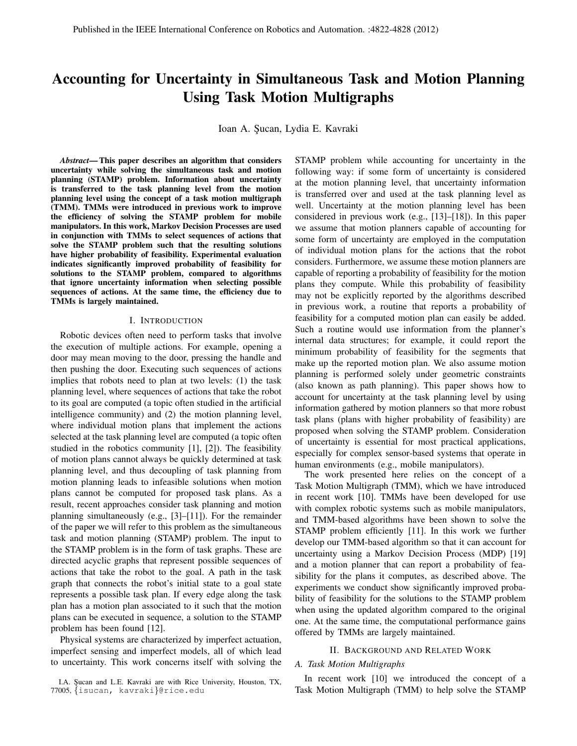# Accounting for Uncertainty in Simultaneous Task and Motion Planning Using Task Motion Multigraphs

Ioan A. Şucan, Lydia E. Kavraki

*Abstract*— This paper describes an algorithm that considers uncertainty while solving the simultaneous task and motion planning (STAMP) problem. Information about uncertainty is transferred to the task planning level from the motion planning level using the concept of a task motion multigraph (TMM). TMMs were introduced in previous work to improve the efficiency of solving the STAMP problem for mobile manipulators. In this work, Markov Decision Processes are used in conjunction with TMMs to select sequences of actions that solve the STAMP problem such that the resulting solutions have higher probability of feasibility. Experimental evaluation indicates significantly improved probability of feasibility for solutions to the STAMP problem, compared to algorithms that ignore uncertainty information when selecting possible sequences of actions. At the same time, the efficiency due to TMMs is largely maintained.

#### I. INTRODUCTION

Robotic devices often need to perform tasks that involve the execution of multiple actions. For example, opening a door may mean moving to the door, pressing the handle and then pushing the door. Executing such sequences of actions implies that robots need to plan at two levels: (1) the task planning level, where sequences of actions that take the robot to its goal are computed (a topic often studied in the artificial intelligence community) and (2) the motion planning level, where individual motion plans that implement the actions selected at the task planning level are computed (a topic often studied in the robotics community [1], [2]). The feasibility of motion plans cannot always be quickly determined at task planning level, and thus decoupling of task planning from motion planning leads to infeasible solutions when motion plans cannot be computed for proposed task plans. As a result, recent approaches consider task planning and motion planning simultaneously (e.g., [3]–[11]). For the remainder of the paper we will refer to this problem as the simultaneous task and motion planning (STAMP) problem. The input to the STAMP problem is in the form of task graphs. These are directed acyclic graphs that represent possible sequences of actions that take the robot to the goal. A path in the task graph that connects the robot's initial state to a goal state represents a possible task plan. If every edge along the task plan has a motion plan associated to it such that the motion plans can be executed in sequence, a solution to the STAMP problem has been found [12].

Physical systems are characterized by imperfect actuation, imperfect sensing and imperfect models, all of which lead to uncertainty. This work concerns itself with solving the

I.A. Sucan and L.E. Kavraki are with Rice University, Houston, TX, 77005, {isucan, kavraki}@rice.edu

STAMP problem while accounting for uncertainty in the following way: if some form of uncertainty is considered at the motion planning level, that uncertainty information is transferred over and used at the task planning level as well. Uncertainty at the motion planning level has been considered in previous work (e.g., [13]–[18]). In this paper we assume that motion planners capable of accounting for some form of uncertainty are employed in the computation of individual motion plans for the actions that the robot considers. Furthermore, we assume these motion planners are capable of reporting a probability of feasibility for the motion plans they compute. While this probability of feasibility may not be explicitly reported by the algorithms described in previous work, a routine that reports a probability of feasibility for a computed motion plan can easily be added. Such a routine would use information from the planner's internal data structures; for example, it could report the minimum probability of feasibility for the segments that make up the reported motion plan. We also assume motion planning is performed solely under geometric constraints (also known as path planning). This paper shows how to account for uncertainty at the task planning level by using information gathered by motion planners so that more robust task plans (plans with higher probability of feasibility) are proposed when solving the STAMP problem. Consideration of uncertainty is essential for most practical applications, especially for complex sensor-based systems that operate in human environments (e.g., mobile manipulators).

The work presented here relies on the concept of a Task Motion Multigraph (TMM), which we have introduced in recent work [10]. TMMs have been developed for use with complex robotic systems such as mobile manipulators, and TMM-based algorithms have been shown to solve the STAMP problem efficiently [11]. In this work we further develop our TMM-based algorithm so that it can account for uncertainty using a Markov Decision Process (MDP) [19] and a motion planner that can report a probability of feasibility for the plans it computes, as described above. The experiments we conduct show significantly improved probability of feasibility for the solutions to the STAMP problem when using the updated algorithm compared to the original one. At the same time, the computational performance gains offered by TMMs are largely maintained.

#### II. BACKGROUND AND RELATED WORK

## *A. Task Motion Multigraphs*

In recent work [10] we introduced the concept of a Task Motion Multigraph (TMM) to help solve the STAMP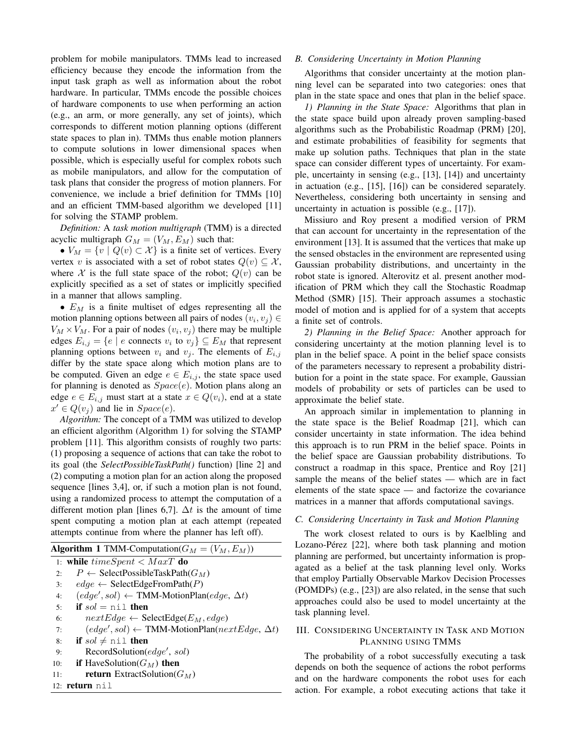problem for mobile manipulators. TMMs lead to increased efficiency because they encode the information from the input task graph as well as information about the robot hardware. In particular, TMMs encode the possible choices of hardware components to use when performing an action (e.g., an arm, or more generally, any set of joints), which corresponds to different motion planning options (different state spaces to plan in). TMMs thus enable motion planners to compute solutions in lower dimensional spaces when possible, which is especially useful for complex robots such as mobile manipulators, and allow for the computation of task plans that consider the progress of motion planners. For convenience, we include a brief definition for TMMs [10] and an efficient TMM-based algorithm we developed [11] for solving the STAMP problem.

*Definition:* A *task motion multigraph* (TMM) is a directed acyclic multigraph  $G_M = (V_M, E_M)$  such that:

•  $V_M = \{v \mid Q(v) \subset \mathcal{X}\}\$ is a finite set of vertices. Every vertex v is associated with a set of robot states  $Q(v) \subseteq \mathcal{X}$ , where X is the full state space of the robot;  $Q(v)$  can be explicitly specified as a set of states or implicitly specified in a manner that allows sampling.

•  $E_M$  is a finite multiset of edges representing all the motion planning options between all pairs of nodes  $(v_i, v_j) \in$  $V_M \times V_M$ . For a pair of nodes  $(v_i, v_j)$  there may be multiple edges  $E_{i,j} = \{e \mid e$  connects  $v_i$  to  $v_j\} \subseteq E_M$  that represent planning options between  $v_i$  and  $v_j$ . The elements of  $E_{i,j}$ differ by the state space along which motion plans are to be computed. Given an edge  $e \in E_{i,j}$ , the state space used for planning is denoted as  $Space(e)$ . Motion plans along an edge  $e \in E_{i,j}$  must start at a state  $x \in Q(v_i)$ , end at a state  $x' \in Q(v_j)$  and lie in  $Space(e)$ .

*Algorithm:* The concept of a TMM was utilized to develop an efficient algorithm (Algorithm 1) for solving the STAMP problem [11]. This algorithm consists of roughly two parts: (1) proposing a sequence of actions that can take the robot to its goal (the *SelectPossibleTaskPath()* function) [line 2] and (2) computing a motion plan for an action along the proposed sequence [lines 3,4], or, if such a motion plan is not found, using a randomized process to attempt the computation of a different motion plan [lines 6,7].  $\Delta t$  is the amount of time spent computing a motion plan at each attempt (repeated attempts continue from where the planner has left off).

|     | <b>Algorithm 1 TMM-Computation</b> ( $G_M = (V_M, E_M)$ )                            |
|-----|--------------------------------------------------------------------------------------|
|     | 1: while $time spent < MaxT$ do                                                      |
| 2.5 | $P \leftarrow$ SelectPossibleTaskPath( $G_M$ )                                       |
| 3:  | $edge \leftarrow$ SelectEdgeFromPath(P)                                              |
| 4:  | $(\text{edge}', \text{sol}) \leftarrow \text{TMM-MotionPlan}(\text{edge}, \Delta t)$ |
| 5:  | <b>if</b> $sol = \text{nil}$ then                                                    |
| 6:  | $nextEdge \leftarrow SelectEdge(E_M, edge)$                                          |
| 7:  | $(edge', sol) \leftarrow \text{TMM-MotionPlan}(nextEdge, \Delta t)$                  |
| 8:  | <b>if</b> sol $\neq$ nil <b>then</b>                                                 |
| 9:  | $\text{RecordSolution}(edge', sol)$                                                  |
| 10: | <b>if</b> HaveSolution( $G_M$ ) then                                                 |
| 11: | <b>return</b> ExtractSolution( $G_M$ )                                               |
|     | $12:$ return $nil$                                                                   |
|     |                                                                                      |

#### *B. Considering Uncertainty in Motion Planning*

Algorithms that consider uncertainty at the motion planning level can be separated into two categories: ones that plan in the state space and ones that plan in the belief space.

*1) Planning in the State Space:* Algorithms that plan in the state space build upon already proven sampling-based algorithms such as the Probabilistic Roadmap (PRM) [20], and estimate probabilities of feasibility for segments that make up solution paths. Techniques that plan in the state space can consider different types of uncertainty. For example, uncertainty in sensing (e.g., [13], [14]) and uncertainty in actuation (e.g., [15], [16]) can be considered separately. Nevertheless, considering both uncertainty in sensing and uncertainty in actuation is possible (e.g., [17]).

Missiuro and Roy present a modified version of PRM that can account for uncertainty in the representation of the environment [13]. It is assumed that the vertices that make up the sensed obstacles in the environment are represented using Gaussian probability distributions, and uncertainty in the robot state is ignored. Alterovitz et al. present another modification of PRM which they call the Stochastic Roadmap Method (SMR) [15]. Their approach assumes a stochastic model of motion and is applied for of a system that accepts a finite set of controls.

*2) Planning in the Belief Space:* Another approach for considering uncertainty at the motion planning level is to plan in the belief space. A point in the belief space consists of the parameters necessary to represent a probability distribution for a point in the state space. For example, Gaussian models of probability or sets of particles can be used to approximate the belief state.

An approach similar in implementation to planning in the state space is the Belief Roadmap [21], which can consider uncertainty in state information. The idea behind this approach is to run PRM in the belief space. Points in the belief space are Gaussian probability distributions. To construct a roadmap in this space, Prentice and Roy [21] sample the means of the belief states — which are in fact elements of the state space — and factorize the covariance matrices in a manner that affords computational savings.

#### *C. Considering Uncertainty in Task and Motion Planning*

The work closest related to ours is by Kaelbling and Lozano-Pérez [22], where both task planning and motion planning are performed, but uncertainty information is propagated as a belief at the task planning level only. Works that employ Partially Observable Markov Decision Processes (POMDPs) (e.g., [23]) are also related, in the sense that such approaches could also be used to model uncertainty at the task planning level.

# III. CONSIDERING UNCERTAINTY IN TASK AND MOTION PLANNING USING TMMS

The probability of a robot successfully executing a task depends on both the sequence of actions the robot performs and on the hardware components the robot uses for each action. For example, a robot executing actions that take it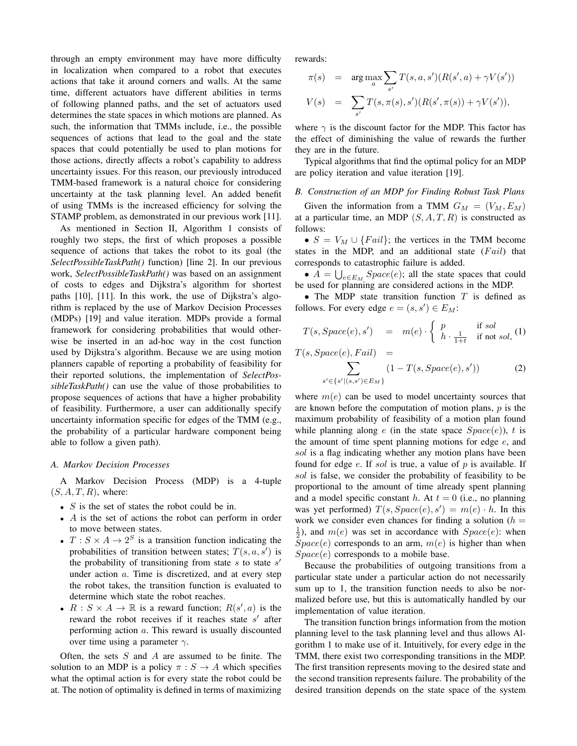through an empty environment may have more difficulty in localization when compared to a robot that executes actions that take it around corners and walls. At the same time, different actuators have different abilities in terms of following planned paths, and the set of actuators used determines the state spaces in which motions are planned. As such, the information that TMMs include, i.e., the possible sequences of actions that lead to the goal and the state spaces that could potentially be used to plan motions for those actions, directly affects a robot's capability to address uncertainty issues. For this reason, our previously introduced TMM-based framework is a natural choice for considering uncertainty at the task planning level. An added benefit of using TMMs is the increased efficiency for solving the STAMP problem, as demonstrated in our previous work [11].

As mentioned in Section II, Algorithm 1 consists of roughly two steps, the first of which proposes a possible sequence of actions that takes the robot to its goal (the *SelectPossibleTaskPath()* function) [line 2]. In our previous work, *SelectPossibleTaskPath()* was based on an assignment of costs to edges and Dijkstra's algorithm for shortest paths [10], [11]. In this work, the use of Dijkstra's algorithm is replaced by the use of Markov Decision Processes (MDPs) [19] and value iteration. MDPs provide a formal framework for considering probabilities that would otherwise be inserted in an ad-hoc way in the cost function used by Dijkstra's algorithm. Because we are using motion planners capable of reporting a probability of feasibility for their reported solutions, the implementation of *SelectPossibleTaskPath()* can use the value of those probabilities to propose sequences of actions that have a higher probability of feasibility. Furthermore, a user can additionally specify uncertainty information specific for edges of the TMM (e.g., the probability of a particular hardware component being able to follow a given path).

#### *A. Markov Decision Processes*

A Markov Decision Process (MDP) is a 4-tuple  $(S, A, T, R)$ , where:

- $S$  is the set of states the robot could be in.
- A is the set of actions the robot can perform in order to move between states.
- $T : S \times A \rightarrow 2^S$  is a transition function indicating the probabilities of transition between states;  $T(s, a, s')$  is the probability of transitioning from state  $s$  to state  $s'$ under action  $a$ . Time is discretized, and at every step the robot takes, the transition function is evaluated to determine which state the robot reaches.
- $R: S \times A \rightarrow \mathbb{R}$  is a reward function;  $R(s', a)$  is the reward the robot receives if it reaches state  $s'$  after performing action a. This reward is usually discounted over time using a parameter  $\gamma$ .

Often, the sets  $S$  and  $A$  are assumed to be finite. The solution to an MDP is a policy  $\pi : S \to A$  which specifies what the optimal action is for every state the robot could be at. The notion of optimality is defined in terms of maximizing rewards:

$$
\pi(s) = \arg \max_{a} \sum_{s'} T(s, a, s') (R(s', a) + \gamma V(s'))
$$
  

$$
V(s) = \sum_{s'} T(s, \pi(s), s') (R(s', \pi(s)) + \gamma V(s')),
$$

where  $\gamma$  is the discount factor for the MDP. This factor has the effect of diminishing the value of rewards the further they are in the future.

Typical algorithms that find the optimal policy for an MDP are policy iteration and value iteration [19].

# *B. Construction of an MDP for Finding Robust Task Plans*

Given the information from a TMM  $G_M = (V_M, E_M)$ at a particular time, an MDP  $(S, A, T, R)$  is constructed as follows:

•  $S = V_M \cup \{Fall\}$ ; the vertices in the TMM become states in the MDP, and an additional state  $(Fail)$  that corresponds to catastrophic failure is added.

•  $A = \bigcup_{e \in E_M} Space(e)$ ; all the state spaces that could be used for planning are considered actions in the MDP.

• The MDP state transition function  $T$  is defined as follows. For every edge  $e = (s, s') \in E_M$ :

$$
T(s, Space(e), s') = m(e) \cdot \begin{cases} p & \text{if sol} \\ h \cdot \frac{1}{1+t} & \text{if not sol,} \end{cases}
$$

 $T(s, Space(e), Fail) =$ 

$$
\sum_{s' \in \{s' | (s, s') \in E_M\}} (1 - T(s, Space(e), s')) \tag{2}
$$

where  $m(e)$  can be used to model uncertainty sources that are known before the computation of motion plans,  $p$  is the maximum probability of feasibility of a motion plan found while planning along e (in the state space  $Space(e)$ ), t is the amount of time spent planning motions for edge  $e$ , and sol is a flag indicating whether any motion plans have been found for edge  $e$ . If sol is true, a value of  $p$  is available. If sol is false, we consider the probability of feasibility to be proportional to the amount of time already spent planning and a model specific constant h. At  $t = 0$  (i.e., no planning was yet performed)  $T(s, Space(e), s') = m(e) \cdot h$ . In this work we consider even chances for finding a solution ( $h =$  $\frac{1}{2}$ ), and  $m(e)$  was set in accordance with  $Space(e)$ : when  $\overline{Space}(e)$  corresponds to an arm,  $m(e)$  is higher than when  $Space(e)$  corresponds to a mobile base.

Because the probabilities of outgoing transitions from a particular state under a particular action do not necessarily sum up to 1, the transition function needs to also be normalized before use, but this is automatically handled by our implementation of value iteration.

The transition function brings information from the motion planning level to the task planning level and thus allows Algorithm 1 to make use of it. Intuitively, for every edge in the TMM, there exist two corresponding transitions in the MDP. The first transition represents moving to the desired state and the second transition represents failure. The probability of the desired transition depends on the state space of the system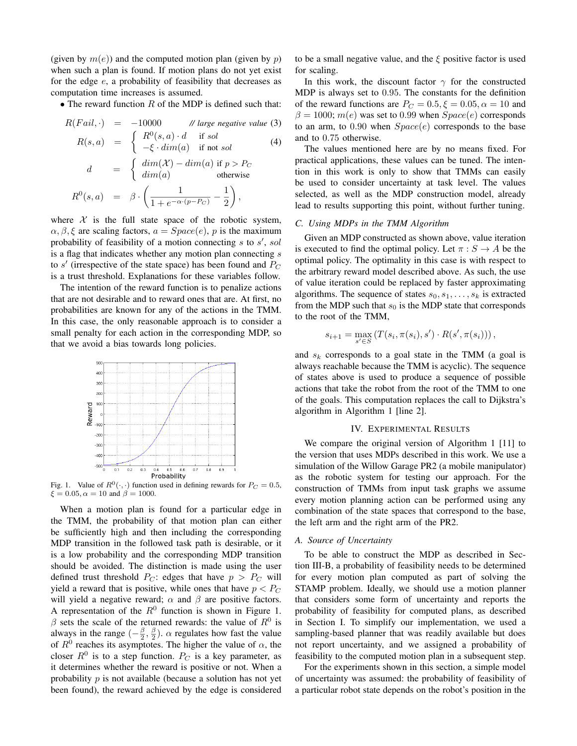(given by  $m(e)$ ) and the computed motion plan (given by p) when such a plan is found. If motion plans do not yet exist for the edge  $e$ , a probability of feasibility that decreases as computation time increases is assumed.

• The reward function  $R$  of the MDP is defined such that:

$$
R(Fail, \cdot) = -10000 \qquad \text{// large negative value (3)}
$$
  
\n
$$
R(s, a) = \begin{cases} R^{0}(s, a) \cdot d & \text{if sol} \\ -\xi \cdot dim(a) & \text{if not sol} \end{cases}
$$
  
\n
$$
d = \begin{cases} dim(\mathcal{X}) - dim(a) & \text{if } p > P_C \\ dim(a) & \text{otherwise} \end{cases}
$$
  
\n
$$
R^{0}(s, a) = \beta \cdot \left( \frac{1}{1 + e^{-\alpha \cdot (p - P_C)}} - \frac{1}{2} \right),
$$

where  $X$  is the full state space of the robotic system,  $\alpha$ ,  $\beta$ ,  $\xi$  are scaling factors,  $a = Space(e)$ , p is the maximum probability of feasibility of a motion connecting  $s$  to  $s'$ , sol is a flag that indicates whether any motion plan connecting  $s$ to  $s'$  (irrespective of the state space) has been found and  $P_C$ is a trust threshold. Explanations for these variables follow.

The intention of the reward function is to penalize actions that are not desirable and to reward ones that are. At first, no probabilities are known for any of the actions in the TMM. In this case, the only reasonable approach is to consider a small penalty for each action in the corresponding MDP, so that we avoid a bias towards long policies.



Fig. 1. Value of  $R^0(\cdot, \cdot)$  function used in defining rewards for  $P_C = 0.5$ ,  $\xi = 0.05, \alpha = 10$  and  $\beta = 1000$ .

When a motion plan is found for a particular edge in the TMM, the probability of that motion plan can either be sufficiently high and then including the corresponding MDP transition in the followed task path is desirable, or it is a low probability and the corresponding MDP transition should be avoided. The distinction is made using the user defined trust threshold  $P_C$ : edges that have  $p > P_C$  will yield a reward that is positive, while ones that have  $p < P_C$ will yield a negative reward;  $\alpha$  and  $\beta$  are positive factors. A representation of the  $R^0$  function is shown in Figure 1.  $\beta$  sets the scale of the returned rewards: the value of  $R^0$  is always in the range  $\left(-\frac{\beta}{2}, \frac{\beta}{2}\right)$ .  $\alpha$  regulates how fast the value of  $R^0$  reaches its asymptotes. The higher the value of  $\alpha$ , the closer  $R^0$  is to a step function.  $P_C$  is a key parameter, as it determines whether the reward is positive or not. When a probability  $p$  is not available (because a solution has not yet been found), the reward achieved by the edge is considered

to be a small negative value, and the  $\xi$  positive factor is used for scaling.

In this work, the discount factor  $\gamma$  for the constructed MDP is always set to 0.95. The constants for the definition of the reward functions are  $P_C = 0.5, \xi = 0.05, \alpha = 10$  and  $\beta = 1000; m(e)$  was set to 0.99 when  $Space(e)$  corresponds to an arm, to 0.90 when  $Space(e)$  corresponds to the base and to 0.75 otherwise.

The values mentioned here are by no means fixed. For practical applications, these values can be tuned. The intention in this work is only to show that TMMs can easily be used to consider uncertainty at task level. The values selected, as well as the MDP construction model, already lead to results supporting this point, without further tuning.

### *C. Using MDPs in the TMM Algorithm*

Given an MDP constructed as shown above, value iteration is executed to find the optimal policy. Let  $\pi : S \to A$  be the optimal policy. The optimality in this case is with respect to the arbitrary reward model described above. As such, the use of value iteration could be replaced by faster approximating algorithms. The sequence of states  $s_0, s_1, \ldots, s_k$  is extracted from the MDP such that  $s_0$  is the MDP state that corresponds to the root of the TMM,

$$
s_{i+1} = \max_{s' \in S} (T(s_i, \pi(s_i), s') \cdot R(s', \pi(s_i))),
$$

and  $s_k$  corresponds to a goal state in the TMM (a goal is always reachable because the TMM is acyclic). The sequence of states above is used to produce a sequence of possible actions that take the robot from the root of the TMM to one of the goals. This computation replaces the call to Dijkstra's algorithm in Algorithm 1 [line 2].

#### IV. EXPERIMENTAL RESULTS

We compare the original version of Algorithm 1 [11] to the version that uses MDPs described in this work. We use a simulation of the Willow Garage PR2 (a mobile manipulator) as the robotic system for testing our approach. For the construction of TMMs from input task graphs we assume every motion planning action can be performed using any combination of the state spaces that correspond to the base, the left arm and the right arm of the PR2.

# *A. Source of Uncertainty*

To be able to construct the MDP as described in Section III-B, a probability of feasibility needs to be determined for every motion plan computed as part of solving the STAMP problem. Ideally, we should use a motion planner that considers some form of uncertainty and reports the probability of feasibility for computed plans, as described in Section I. To simplify our implementation, we used a sampling-based planner that was readily available but does not report uncertainty, and we assigned a probability of feasibility to the computed motion plan in a subsequent step.

For the experiments shown in this section, a simple model of uncertainty was assumed: the probability of feasibility of a particular robot state depends on the robot's position in the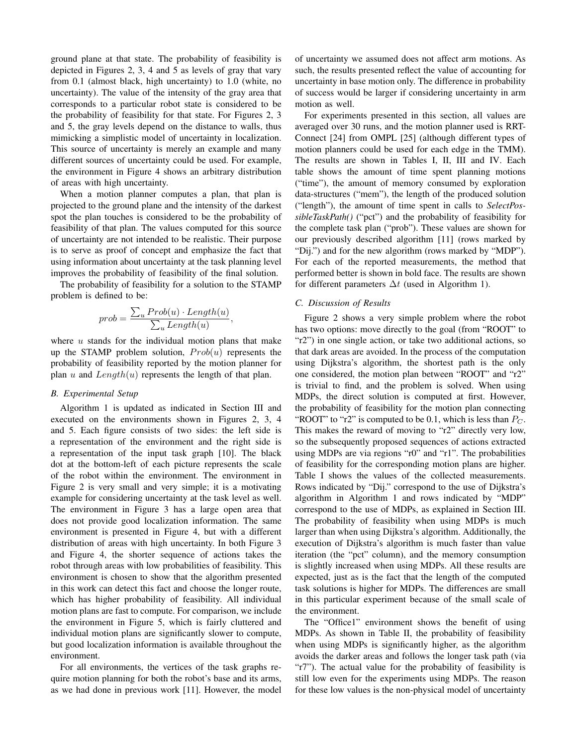ground plane at that state. The probability of feasibility is depicted in Figures 2, 3, 4 and 5 as levels of gray that vary from 0.1 (almost black, high uncertainty) to 1.0 (white, no uncertainty). The value of the intensity of the gray area that corresponds to a particular robot state is considered to be the probability of feasibility for that state. For Figures 2, 3 and 5, the gray levels depend on the distance to walls, thus mimicking a simplistic model of uncertainty in localization. This source of uncertainty is merely an example and many different sources of uncertainty could be used. For example, the environment in Figure 4 shows an arbitrary distribution of areas with high uncertainty.

When a motion planner computes a plan, that plan is projected to the ground plane and the intensity of the darkest spot the plan touches is considered to be the probability of feasibility of that plan. The values computed for this source of uncertainty are not intended to be realistic. Their purpose is to serve as proof of concept and emphasize the fact that using information about uncertainty at the task planning level improves the probability of feasibility of the final solution.

The probability of feasibility for a solution to the STAMP problem is defined to be:

$$
prob = \frac{\sum_{u} Prob(u) \cdot Length(u)}{\sum_{u} Length(u)},
$$

where  $u$  stands for the individual motion plans that make up the STAMP problem solution,  $Prob(u)$  represents the probability of feasibility reported by the motion planner for plan u and  $Length(u)$  represents the length of that plan.

### *B. Experimental Setup*

Algorithm 1 is updated as indicated in Section III and executed on the environments shown in Figures 2, 3, 4 and 5. Each figure consists of two sides: the left side is a representation of the environment and the right side is a representation of the input task graph [10]. The black dot at the bottom-left of each picture represents the scale of the robot within the environment. The environment in Figure 2 is very small and very simple; it is a motivating example for considering uncertainty at the task level as well. The environment in Figure 3 has a large open area that does not provide good localization information. The same environment is presented in Figure 4, but with a different distribution of areas with high uncertainty. In both Figure 3 and Figure 4, the shorter sequence of actions takes the robot through areas with low probabilities of feasibility. This environment is chosen to show that the algorithm presented in this work can detect this fact and choose the longer route, which has higher probability of feasibility. All individual motion plans are fast to compute. For comparison, we include the environment in Figure 5, which is fairly cluttered and individual motion plans are significantly slower to compute, but good localization information is available throughout the environment.

For all environments, the vertices of the task graphs require motion planning for both the robot's base and its arms, as we had done in previous work [11]. However, the model of uncertainty we assumed does not affect arm motions. As such, the results presented reflect the value of accounting for uncertainty in base motion only. The difference in probability of success would be larger if considering uncertainty in arm motion as well.

For experiments presented in this section, all values are averaged over 30 runs, and the motion planner used is RRT-Connect [24] from OMPL [25] (although different types of motion planners could be used for each edge in the TMM). The results are shown in Tables I, II, III and IV. Each table shows the amount of time spent planning motions ("time"), the amount of memory consumed by exploration data-structures ("mem"), the length of the produced solution ("length"), the amount of time spent in calls to *SelectPossibleTaskPath()* ("pct") and the probability of feasibility for the complete task plan ("prob"). These values are shown for our previously described algorithm [11] (rows marked by "Dij.") and for the new algorithm (rows marked by "MDP"). For each of the reported measurements, the method that performed better is shown in bold face. The results are shown for different parameters  $\Delta t$  (used in Algorithm 1).

#### *C. Discussion of Results*

Figure 2 shows a very simple problem where the robot has two options: move directly to the goal (from "ROOT" to "r2") in one single action, or take two additional actions, so that dark areas are avoided. In the process of the computation using Dijkstra's algorithm, the shortest path is the only one considered, the motion plan between "ROOT" and "r2" is trivial to find, and the problem is solved. When using MDPs, the direct solution is computed at first. However, the probability of feasibility for the motion plan connecting "ROOT" to "r2" is computed to be 0.1, which is less than  $P_C$ . This makes the reward of moving to "r2" directly very low, so the subsequently proposed sequences of actions extracted using MDPs are via regions "r0" and "r1". The probabilities of feasibility for the corresponding motion plans are higher. Table I shows the values of the collected measurements. Rows indicated by "Dij." correspond to the use of Dijkstra's algorithm in Algorithm 1 and rows indicated by "MDP" correspond to the use of MDPs, as explained in Section III. The probability of feasibility when using MDPs is much larger than when using Dijkstra's algorithm. Additionally, the execution of Dijkstra's algorithm is much faster than value iteration (the "pct" column), and the memory consumption is slightly increased when using MDPs. All these results are expected, just as is the fact that the length of the computed task solutions is higher for MDPs. The differences are small in this particular experiment because of the small scale of the environment.

The "Office1" environment shows the benefit of using MDPs. As shown in Table II, the probability of feasibility when using MDPs is significantly higher, as the algorithm avoids the darker areas and follows the longer task path (via "r7"). The actual value for the probability of feasibility is still low even for the experiments using MDPs. The reason for these low values is the non-physical model of uncertainty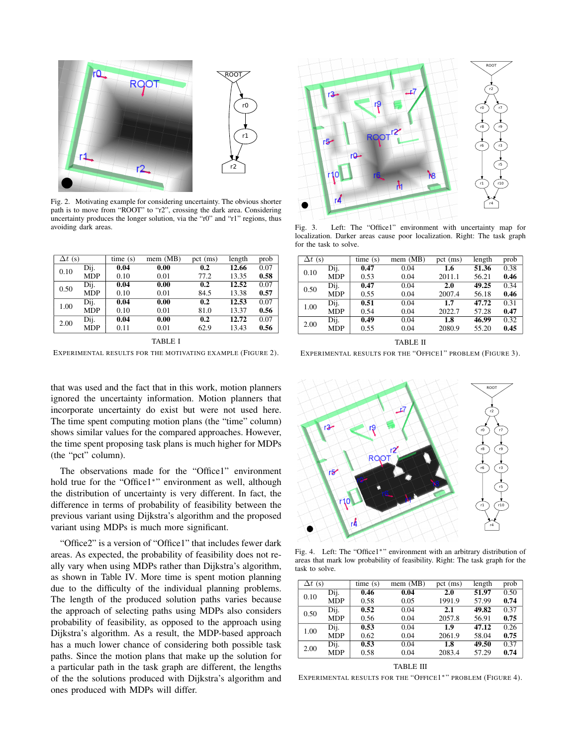



Fig. 2. Motivating example for considering uncertainty. The obvious shorter path is to move from "ROOT" to "r2", crossing the dark area. Considering uncertainty produces the longer solution, via the "r0" and "r1" regions, thus avoiding dark areas.

| $\Delta t$ (s) |            | time(s) | mem (MB)          | $pct$ (ms) | length | prob |
|----------------|------------|---------|-------------------|------------|--------|------|
| 0.10           | Dij.       | 0.04    | 0.00              | 0.2        | 12.66  | 0.07 |
|                | <b>MDP</b> | 0.10    | 0.01              | 77.2       | 13.35  | 0.58 |
| 0.50           | Dij.       | 0.04    | 0.00              | 0.2        | 12.52  | 0.07 |
|                | <b>MDP</b> | 0.10    | 0.01              | 84.5       | 13.38  | 0.57 |
| 1.00           | Dij.       | 0.04    | 0.00              | 0.2        | 12.53  | 0.07 |
|                | <b>MDP</b> | 0.10    | 0.01              | 81.0       | 13.37  | 0.56 |
| 2.00           | Dij.       | 0.04    | $\overline{0.00}$ | 0.2        | 12.72  | 0.07 |
|                | <b>MDP</b> | 0.11    | 0.01              | 62.9       | 13.43  | 0.56 |

TABLE I EXPERIMENTAL RESULTS FOR THE MOTIVATING EXAMPLE (FIGURE 2).

that was used and the fact that in this work, motion planners ignored the uncertainty information. Motion planners that incorporate uncertainty do exist but were not used here. The time spent computing motion plans (the "time" column) shows similar values for the compared approaches. However, the time spent proposing task plans is much higher for MDPs (the "pct" column).

The observations made for the "Office1" environment hold true for the "Office1<sup>∗</sup> " environment as well, although the distribution of uncertainty is very different. In fact, the difference in terms of probability of feasibility between the previous variant using Dijkstra's algorithm and the proposed variant using MDPs is much more significant.

"Office2" is a version of "Office1" that includes fewer dark areas. As expected, the probability of feasibility does not really vary when using MDPs rather than Dijkstra's algorithm, as shown in Table IV. More time is spent motion planning due to the difficulty of the individual planning problems. The length of the produced solution paths varies because the approach of selecting paths using MDPs also considers probability of feasibility, as opposed to the approach using Dijkstra's algorithm. As a result, the MDP-based approach has a much lower chance of considering both possible task paths. Since the motion plans that make up the solution for a particular path in the task graph are different, the lengths of the the solutions produced with Dijkstra's algorithm and ones produced with MDPs will differ.



Fig. 3. Left: The "Office1" environment with uncertainty map for localization. Darker areas cause poor localization. Right: The task graph for the task to solve.

| $\Delta t$ (s) |            | time(s) | mem (MB) | pct $(ms)$ | length | prob |
|----------------|------------|---------|----------|------------|--------|------|
| 0.10           | Dij.       | 0.47    | 0.04     | 1.6        | 51.36  | 0.38 |
|                | <b>MDP</b> | 0.53    | 0.04     | 2011.1     | 56.21  | 0.46 |
| 0.50           | Dij.       | 0.47    | 0.04     | 2.0        | 49.25  | 0.34 |
|                | <b>MDP</b> | 0.55    | 0.04     | 2007.4     | 56.18  | 0.46 |
| 1.00           | Dij.       | 0.51    | 0.04     | 1.7        | 47.72  | 0.31 |
|                | <b>MDP</b> | 0.54    | 0.04     | 2022.7     | 57.28  | 0.47 |
| 2.00           | Dij.       | 0.49    | 0.04     | 1.8        | 46.99  | 0.32 |
|                | <b>MDP</b> | 0.55    | 0.04     | 2080.9     | 55.20  | 0.45 |

TABLE II EXPERIMENTAL RESULTS FOR THE "OFFICE1" PROBLEM (FIGURE 3).



Fig. 4. Left: The "Office1∗" environment with an arbitrary distribution of areas that mark low probability of feasibility. Right: The task graph for the task to solve.

| $\Delta t$ (s) |            | time(s) | mem (MB) | pct (ms) | length | prob |
|----------------|------------|---------|----------|----------|--------|------|
| 0.10           | Dij.       | 0.46    | 0.04     | 2.0      | 51.97  | 0.50 |
|                | <b>MDP</b> | 0.58    | 0.05     | 1991.9   | 57.99  | 0.74 |
| 0.50           | Dij.       | 0.52    | 0.04     | 2.1      | 49.82  | 0.37 |
|                | <b>MDP</b> | 0.56    | 0.04     | 2057.8   | 56.91  | 0.75 |
| 1.00           | Dij.       | 0.53    | 0.04     | 1.9      | 47.12  | 0.26 |
|                | <b>MDP</b> | 0.62    | 0.04     | 2061.9   | 58.04  | 0.75 |
| 2.00           | Dij.       | 0.53    | 0.04     | 1.8      | 49.50  | 0.37 |
|                | <b>MDP</b> | 0.58    | 0.04     | 2083.4   | 57.29  | 0.74 |
|                |            |         |          |          |        |      |

TABLE III

EXPERIMENTAL RESULTS FOR THE "OFFICE1\*" PROBLEM (FIGURE 4).